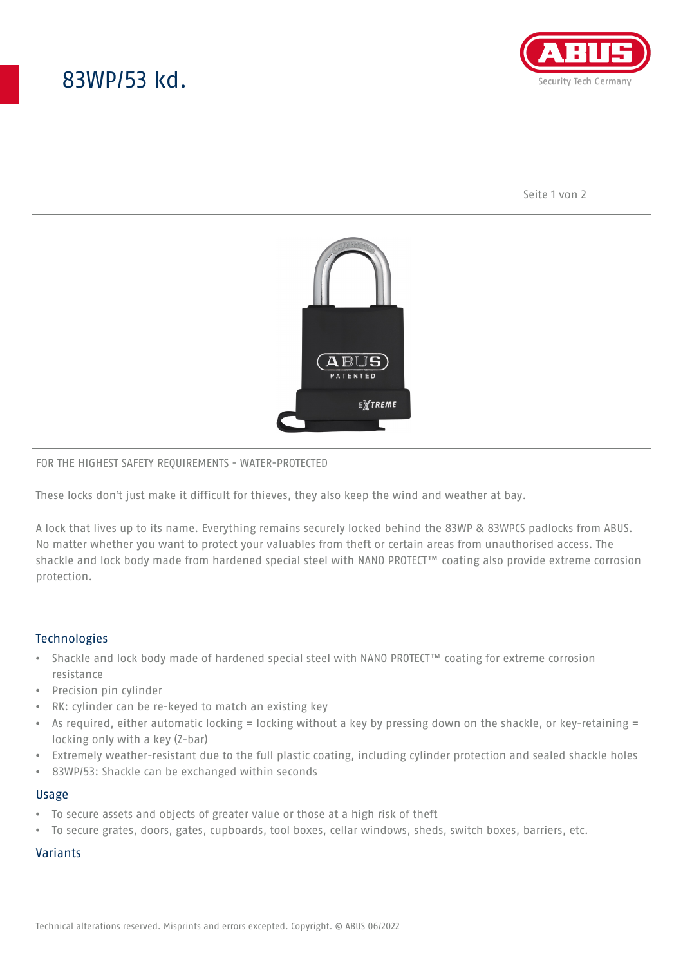# 83WP/53 kd.



Seite 1 von 2



### FOR THE HIGHEST SAFETY REQUIREMENTS - WATER-PROTECTED

These locks don't just make it difficult for thieves, they also keep the wind and weather at bay.

A lock that lives up to its name. Everything remains securely locked behind the 83WP & 83WPCS padlocks from ABUS. No matter whether you want to protect your valuables from theft or certain areas from unauthorised access. The shackle and lock body made from hardened special steel with NANO PROTECT™ coating also provide extreme corrosion protection.

## **Technologies**

- Shackle and lock body made of hardened special steel with NANO PROTECT™ coating for extreme corrosion resistance
- Precision pin cylinder
- RK: cylinder can be re-keyed to match an existing key
- As required, either automatic locking = locking without a key by pressing down on the shackle, or key-retaining = locking only with a key (Z-bar)
- Extremely weather-resistant due to the full plastic coating, including cylinder protection and sealed shackle holes
- 83WP/53: Shackle can be exchanged within seconds

#### Usage

- To secure assets and objects of greater value or those at a high risk of theft
- To secure grates, doors, gates, cupboards, tool boxes, cellar windows, sheds, switch boxes, barriers, etc.

## Variants